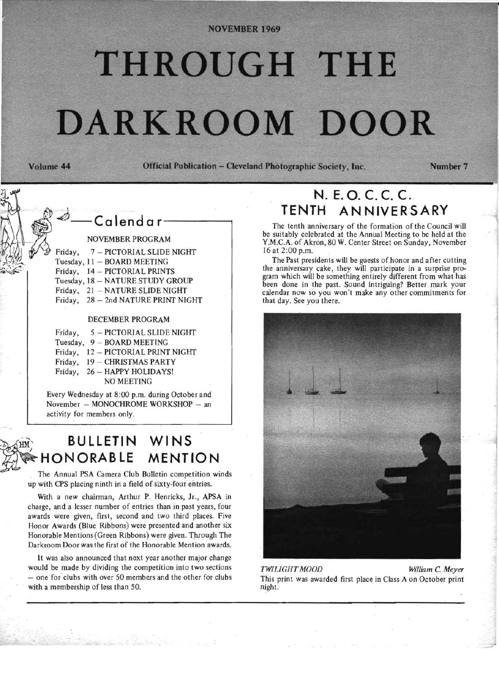#### **NOVEMBER 1969**

# THROUGH THE **DARKROOM DOOR**

Volume 44 Official Publication **- ClevelandPhotographlc Society, Inc.** Number 7



## ~ **BULLETIN WINS HONORABLE MENTION**

. The Annual PSA Camera Club Bulletin competition winds up with CPS placing ninth in a field of sixty-four entries.

With a new chairman, Arthur P. Henricks, Jr., APSA in charge , and a lesser number of entries than in past years, four awards were given, first, second and two third places. Five Honor Awards (Blue Ribbons) were presented and another six Honorable Mentions (Green Ribbons) were given. Through The Darkroom Door was the first of the Honorable Mention awards.

It was also announced that next year another major change would be made by dividing the competition into two sections - one for clubs with over 50 members and the other for clubs with a membership of less than 50.

## **N. E.** O~ **c. c. c. TENTH ANNIVERSARY**

The tenth anniversary of the formation of the Council will be suitably celebrated at the Annual Meeting to be held at the Y.M.C.A. of Akron, 80 W. Center Street on Sunday, November 16 at 2:00 p.m.

The Past presidents will be guests of honor and after cutting the anniversary cake, they will participate in a surprise program which will be something entirely different from what has been done in the past. Sound intriguing? Better mark your calendar now so you won't make any other commitments for that day. See you there.



*TWILIGHT MOOD* William *C. Meyer* . This print was awarded first place in Class A on October print night.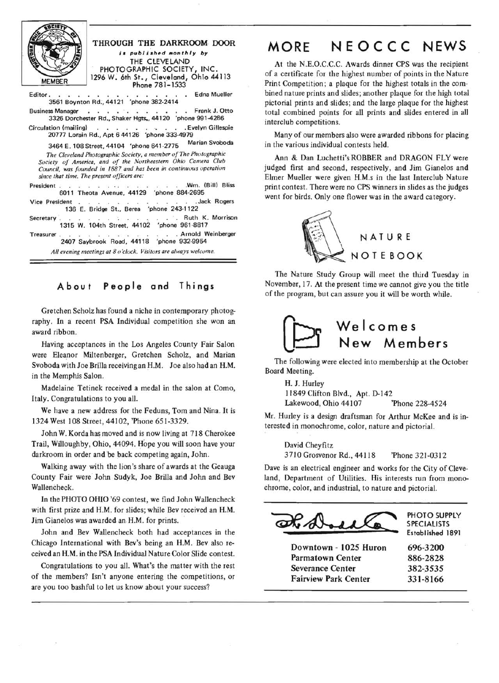| <b>Rupa</b>   | THROUGH THE DARKROOM DOOR<br>is published monthly by                                                                                                                                                                                                | MORE NEOCCC N                                                                                                                                             |  |        |  |
|---------------|-----------------------------------------------------------------------------------------------------------------------------------------------------------------------------------------------------------------------------------------------------|-----------------------------------------------------------------------------------------------------------------------------------------------------------|--|--------|--|
| <b>MEMBER</b> | THE CLEVELAND<br>PHOTOGRAPHIC SOCIETY, INC.<br>1296 W. 6th St., Cleveland, Ohio 44113<br>Phone 781-1533                                                                                                                                             | At the N.E.O.C.C.C. Awards dinner CPS was t<br>of a certificate for the highest number of points in<br>Print Competition; a plaque for the highest totals |  |        |  |
|               | Editor. Edna Mueller<br>3561 Boynton Rd., 44121 'phone 382-2414                                                                                                                                                                                     | bined nature prints and slides; another plaque for tl<br>pictorial prints and slides; and the large plaque for                                            |  |        |  |
|               | Business Manager. Frank J. Otto<br>3326 Dorchester Rd., Shaker Hgts., 44120 'phone 991-4286                                                                                                                                                         | total combined points for all prints and slides er<br>interclub competitions.                                                                             |  |        |  |
|               | Circulation (mailing) Evelyn Gillespie<br>20777 Lorain Rd., Apt 6 44126 'phone 333-4979                                                                                                                                                             | Many of our members also were awarded ribbon                                                                                                              |  |        |  |
|               | Marian Svoboda<br>3464 E. 108 Street, 44104 'phone 641-2775                                                                                                                                                                                         | in the various individual contests held.                                                                                                                  |  |        |  |
|               | The Cleveland Photographic Society, a member of The Photographic<br>Society of America, and of the Northeastern Ohio Camera Club<br>Council, was founded in 1887 and has been in continuous operation<br>since that time. The present officers are: | Ann & Dan Luchetti's ROBBER and DRAGO!<br>judged first and second, respectively, and Jim G<br>Elmer Mueller were given H.M.s in the last Inter            |  |        |  |
|               | President Wm. (Bill) Bliss<br>6011 Theota Avenue, 44129 'phone 884-2695                                                                                                                                                                             | print contest. There were no CPS winners in slides a                                                                                                      |  |        |  |
|               | Vice President Jack Rogers<br>136 E. Bridge St., Berea 'phone 243-1122                                                                                                                                                                              | went for birds. Only one flower was in the award c                                                                                                        |  |        |  |
|               | Secretary Ruth K. Morrison<br>1315 W. 104th Street, 44102 'phone 961-8817                                                                                                                                                                           |                                                                                                                                                           |  |        |  |
| Treasurer.    | with the state of the state of the state of the Arnold Weinberger<br>2407 Saybrook Road, 44118 'phone 932-9954                                                                                                                                      |                                                                                                                                                           |  | NATURE |  |

All evening meetings at 8 o'clock. Visitors are always welcome.

#### A bou t People and Things

Gretchen Scholz has found a niche in contemporary photography. In a recent PSA Individual competition she won an award ribbon.

Having acceptances in the Los Angeles County Fair Salon were Eleanor Miltenberger, Gretchen Scholz, and Marian Svoboda with Joe Brilla receiving an H.M. Joe also had an H.M. in the Memphis Salon.

Madelaine Tetinek received a medal in the salon at Como, Italy. Congratulations to you all.

We have a new address for the Feduns, Tom and Nina. It is 1324 West 108 Street, 44102, 'Phone 651-3329.

John W. Korda has moved and is now living at 718 Cherokee Trail, Willoughby, Ohio, 44094. Hope you will soon have your darkroom in order and be back competing again, John.

Walking away with the lion's share of awards at the Geauga County Fair were John Sudyk, Joe Brilla and John and Bev Wallencheck.

In the PHOTO OHIO '69 contest, we find John Wallencheck with first *prize* and H.M. for slides; while Bev received an H.M. Jim Gianelos was awarded an H.M. for prints.

John and Bev Wallencheck both had acceptances in the Chicago International with Bev's being an H.M. Bev also received an H.M. in the PSA Individual Nature Color Slide contest.

Congratulations to you all. What's the matter with the rest of the members? Isn't anyone entering the competitions, or are you too bashful to let us know about your success?

## IEWS

he recipient n the Nature in the comhe high total r the highest ntered in all

s for placing

N FLY were janelos and club Nature is the judges ategory.



The Nature Study Group will meet the third Tuesday in November, 17. At the present time we cannot give you the title of the program, but can assure you it will be worth while.



The following were elected into membership at the October Board Meeting.

H. J. Hurley 11849 Clifton Blvd., Apt. 0.142 Lakewood, Ohio 44107 'Phone 228-4524

Mr. Hurley is a design draftsman for Arthur McKee and is interested in monochrome, color, nature and pictorial.

David Cheyfitz 3710 Grosvenor Rd., 44118 'Phone 321-0312

Dave is an electrical engineer and works for the City of Cleveland, Department of Utilities. His interests run from monochrome, color, and industrial, to nature and pictorial.

PHOTO SUPPLY SPECIALISTS

Established 1891

Downtown - 1025 Huron 696-3200 Parmatown Center 886-2828 Severance Center 382-3535 Fairview Park Center 331-8166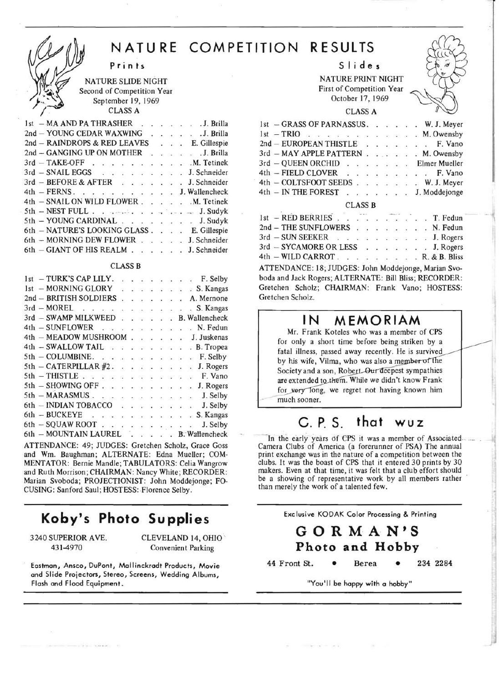## **NATURE COMPETITION RESULTS**

**prints** 

NATURE SLIDE NIGHT Second of Competition Year September 19,1969 CLASS A

|  |  |  |  |  |  |  | 1st – MA AND PA THRASHER J. Brilla        |  |
|--|--|--|--|--|--|--|-------------------------------------------|--|
|  |  |  |  |  |  |  | 2nd - YOUNG CEDAR WAXWING J. Brilla       |  |
|  |  |  |  |  |  |  | 2nd - RAINDROPS & RED LEAVES E. Gillespie |  |
|  |  |  |  |  |  |  | 2nd - GANGING UP ON MOTHER J. Brilla      |  |
|  |  |  |  |  |  |  | 3rd - TAKE-OFF M. Tetinek                 |  |
|  |  |  |  |  |  |  | 3rd - SNAIL EGGS J. Schneider             |  |
|  |  |  |  |  |  |  | 3rd - BEFORE & AFTER J. Schneider         |  |
|  |  |  |  |  |  |  | 4th - FERNS. J. Wallencheck               |  |
|  |  |  |  |  |  |  | 4th - SNAIL ON WILD FLOWER M. Tetinek     |  |
|  |  |  |  |  |  |  | 5th - NEST FULL J. Sudyk                  |  |
|  |  |  |  |  |  |  | 5th - YOUNG CARDINAL J. Sudyk             |  |
|  |  |  |  |  |  |  | 6th - NATURE'S LOOKING GLASS E. Gillespie |  |
|  |  |  |  |  |  |  | 6th - MORNING DEW FLOWER J. Schneider     |  |
|  |  |  |  |  |  |  | 6th - GIANT OF HIS REALM J. Schneider     |  |
|  |  |  |  |  |  |  |                                           |  |

#### **CLASS B**

|  | $1st - TURK'S CAP LILY.$ |  |  |  |  |  |  | $\ldots$ $\ldots$ $\ldots$ $\ldots$ $\ldots$ $\ldots$ $\ldots$ $\ldots$ $\ldots$ $\ldots$ $\ldots$ $\ldots$ |
|--|--------------------------|--|--|--|--|--|--|-------------------------------------------------------------------------------------------------------------|
|  | 1st - MORNING GLORY      |  |  |  |  |  |  | . S. Kangas                                                                                                 |
|  |                          |  |  |  |  |  |  | 2nd - BRITISH SOLDIERS A. Mernone                                                                           |
|  |                          |  |  |  |  |  |  | 3rd - MOREL S. Kangas                                                                                       |
|  |                          |  |  |  |  |  |  | 3rd - SWAMP MILKWEED B. Wallencheck                                                                         |
|  |                          |  |  |  |  |  |  | 4th - SUNFLOWER N. Fedun                                                                                    |
|  |                          |  |  |  |  |  |  | 4th - MEADOW MUSHROOM J. Juskenas                                                                           |
|  |                          |  |  |  |  |  |  | 4th - SWALLOW TAIL B. Tropea                                                                                |
|  | $5th$ – COLUMBINE.       |  |  |  |  |  |  | F. Selby                                                                                                    |
|  |                          |  |  |  |  |  |  | $5th$ – CATERPILLAR #2. J. Rogers                                                                           |
|  |                          |  |  |  |  |  |  | $5th$ - THISTLE $\ldots$ $\ldots$ $\ldots$ $\ldots$ $\ldots$ $\ldots$ F. Vano                               |
|  |                          |  |  |  |  |  |  | 5th - SHOWING OFF J. Rogers                                                                                 |
|  |                          |  |  |  |  |  |  | 5th - MARASMUS J. Selby                                                                                     |
|  |                          |  |  |  |  |  |  | 6th - INDIAN TOBACCO J. Selby                                                                               |
|  |                          |  |  |  |  |  |  | 6th - BUCKEYE S. Kangas                                                                                     |
|  |                          |  |  |  |  |  |  | 6th - SQUAW ROOT J. Selby                                                                                   |
|  |                          |  |  |  |  |  |  | 6th - MOUNTAIN LAUREL B: Wallencheck                                                                        |
|  |                          |  |  |  |  |  |  | ATU                                                                                                         |

ATTENDANCE: 49; JUDGES: Gretchen Scholz, Grace Goss and Wm. Baughman; ALTERNATE: Edna Mueller; COM-MENTATOR: Bernie Mandie; TABULATORS: Celia Wangrow and Ruth Morrison; CHAIRMAN: Nancy White; RECORDER: Marian Svoboda; PROJECTIONIST: John Moddejonge; FO-CUSING: Sanford Saul; HOSTESS: Florence Selby.

## **Koby's Photo Supplies**

3240 SUPERIOR AVE. CLEVELAND 14, OHIO 431-4970 Convenient Parking

Eastman, Ansco, DuPont, Mallinckradt Products, Movie and Slide Projectors, Stereo, Screens, Wedding Albums, Flash and Flood Equipment.

Slides

NATURE PRINT NIGHT First of Competition Year October 17, 1969

#### CLASS A

| 1st - GRASS OF PARNASSUS. W. J. Meyer |  |  |  |  |
|---------------------------------------|--|--|--|--|
| $1st - TRIO$ M. Owensby               |  |  |  |  |
| 2nd - EUROPEAN THISTLE F. Vano        |  |  |  |  |
| 3rd - MAY APPLE PATTERN M. Owensby    |  |  |  |  |
| 3rd - QUEEN ORCHID Elmer Mueller      |  |  |  |  |
| 4th - FIELD CLOVER F. Vano            |  |  |  |  |
| 4th - COLTSFOOT SEEDS W. J. Meyer     |  |  |  |  |
| 4th - IN THE FOREST J. Moddejonge     |  |  |  |  |
|                                       |  |  |  |  |

#### CLASS B

| 1st - RED BERRIES T. Fedun                             |  |  |  |  |  |  |
|--------------------------------------------------------|--|--|--|--|--|--|
| 2nd - THE SUNFLOWERS N. Fedun                          |  |  |  |  |  |  |
| 3rd - SUN SEEKER J. Rogers                             |  |  |  |  |  |  |
| 3rd - SYCAMORE OR LESS J. Rogers                       |  |  |  |  |  |  |
| 4th - WILD CARROT. R. & B. Bliss                       |  |  |  |  |  |  |
| ATTENDANCE: 18; JUDGES: John Moddejonge, Marian Svo-   |  |  |  |  |  |  |
| boda and Jack Rogers; ALTERNATE: Bill Bliss; RECORDER: |  |  |  |  |  |  |
| Gretchen Scholz; CHAIRMAN: Frank Vano; HOSTESS:        |  |  |  |  |  |  |
| Gretchen Scholz.                                       |  |  |  |  |  |  |

#### **IN MEMORIAM**

Mr. Frank Koteles who was a member of CPS for only a short time before being striken by a fatal illness, passed away recently. He is survived by his wife, Vilma, who was also a member of the Society and a son, Robert Our deepest sympathies are extended to them. While we didn't know Frank for very long, we regret not having known him much sooner.

## c. **P. S.** t hat w u z

In the early years of CPS it was a member of Associated Camera Clubs of America (a forerunner of PSA) The annual print exchange was in the nature of a competition between the clubs. It was the boast of CPS that it entered 30 prints by 30 makers. Even at that time, it was felt that a club effort should be a showing of representative work by all members rather than merely the work of a talented few .

Exclusive KODAK Calor Processing & Printing

#### **GORMAN'S Photo and Hobby**

44 Front St. • Berea • 234 2284

"You'll be happy with a hobby"